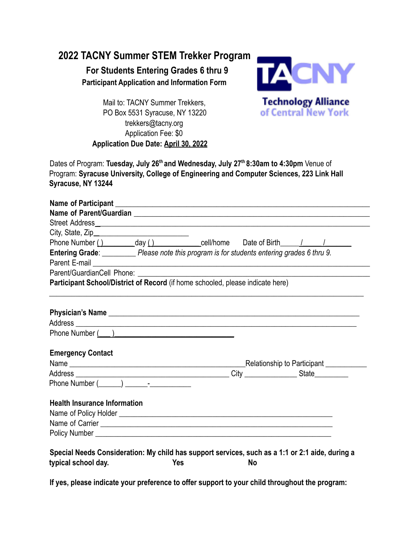## **2022 TACNY Summer STEM Trekker Program**

**For Students Entering Grades 6 thru 9 Participant Application and Information Form**



Mail to: TACNY Summer Trekkers, PO Box 5531 Syracuse, NY 13220 trekkers@tacny.org Application Fee: \$0 **Application Due Date: April 30, 2022**

Dates of Program: **Tuesday, July 26th and Wednesday, July 27th 8:30am to 4:30pm** Venue of Program: **Syracuse University, College of Engineering and Computer Sciences, 223 Link Hall Syracuse, NY 13244**

| Name of Participant <u>experience and the series of the series of the series of the series of the series of the series of the series of the series of the series of the series of the series of the series of the series of the </u> |  |     |                                                                                                      |  |  |
|--------------------------------------------------------------------------------------------------------------------------------------------------------------------------------------------------------------------------------------|--|-----|------------------------------------------------------------------------------------------------------|--|--|
|                                                                                                                                                                                                                                      |  |     |                                                                                                      |  |  |
|                                                                                                                                                                                                                                      |  |     |                                                                                                      |  |  |
|                                                                                                                                                                                                                                      |  |     |                                                                                                      |  |  |
|                                                                                                                                                                                                                                      |  |     | Phone Number () __________day () _______________cell/home Date of Birth ______/ ____________________ |  |  |
| Entering Grade: Please note this program is for students entering grades 6 thru 9.                                                                                                                                                   |  |     |                                                                                                      |  |  |
| Parent E-mail <u>experience</u> and the contract of the contract of the contract of the contract of the contract of the                                                                                                              |  |     |                                                                                                      |  |  |
|                                                                                                                                                                                                                                      |  |     |                                                                                                      |  |  |
| Participant School/District of Record (if home schooled, please indicate here)                                                                                                                                                       |  |     |                                                                                                      |  |  |
|                                                                                                                                                                                                                                      |  |     |                                                                                                      |  |  |
|                                                                                                                                                                                                                                      |  |     |                                                                                                      |  |  |
|                                                                                                                                                                                                                                      |  |     |                                                                                                      |  |  |
|                                                                                                                                                                                                                                      |  |     |                                                                                                      |  |  |
|                                                                                                                                                                                                                                      |  |     |                                                                                                      |  |  |
|                                                                                                                                                                                                                                      |  |     |                                                                                                      |  |  |
| <b>Emergency Contact</b>                                                                                                                                                                                                             |  |     |                                                                                                      |  |  |
|                                                                                                                                                                                                                                      |  |     |                                                                                                      |  |  |
|                                                                                                                                                                                                                                      |  |     |                                                                                                      |  |  |
| Phone Number (Company of The Phone Number (Company of The Phone Section 1997)                                                                                                                                                        |  |     |                                                                                                      |  |  |
|                                                                                                                                                                                                                                      |  |     |                                                                                                      |  |  |
| <b>Health Insurance Information</b>                                                                                                                                                                                                  |  |     |                                                                                                      |  |  |
|                                                                                                                                                                                                                                      |  |     |                                                                                                      |  |  |
|                                                                                                                                                                                                                                      |  |     |                                                                                                      |  |  |
|                                                                                                                                                                                                                                      |  |     |                                                                                                      |  |  |
|                                                                                                                                                                                                                                      |  |     |                                                                                                      |  |  |
|                                                                                                                                                                                                                                      |  |     | Special Needs Consideration: My child has support services, such as a 1:1 or 2:1 aide, during a      |  |  |
| typical school day.                                                                                                                                                                                                                  |  | Yes | No                                                                                                   |  |  |
|                                                                                                                                                                                                                                      |  |     |                                                                                                      |  |  |

**If yes, please indicate your preference to offer support to your child throughout the program:**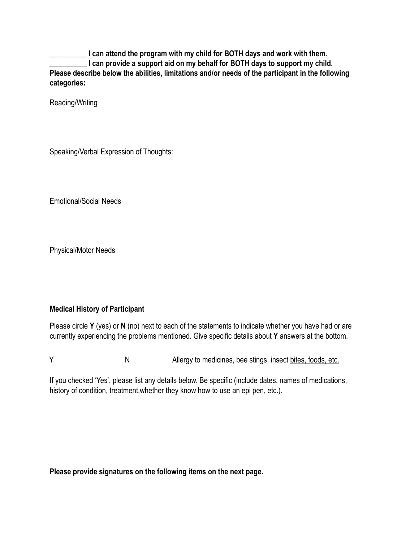**\_\_\_\_\_\_\_\_\_\_ I can attend the program with my child for BOTH days and work with them.** I can provide a support aid on my behalf for BOTH days to support my child. **Please describe below the abilities, limitations and/or needs of the participant in the following categories:**

Reading/Writing

Speaking/Verbal Expression of Thoughts:

Emotional/Social Needs

Physical/Motor Needs

## **Medical History of Participant**

Please circle **Y** (yes) or **N** (no) next to each of the statements to indicate whether you have had or are currently experiencing the problems mentioned. Give specific details about **Y** answers at the bottom.

Y N Allergy to medicines, bee stings, insect bites, foods, etc.

If you checked 'Yes', please list any details below. Be specific (include dates, names of medications, history of condition, treatment,whether they know how to use an epi pen, etc.).

**Please provide signatures on the following items on the next page.**